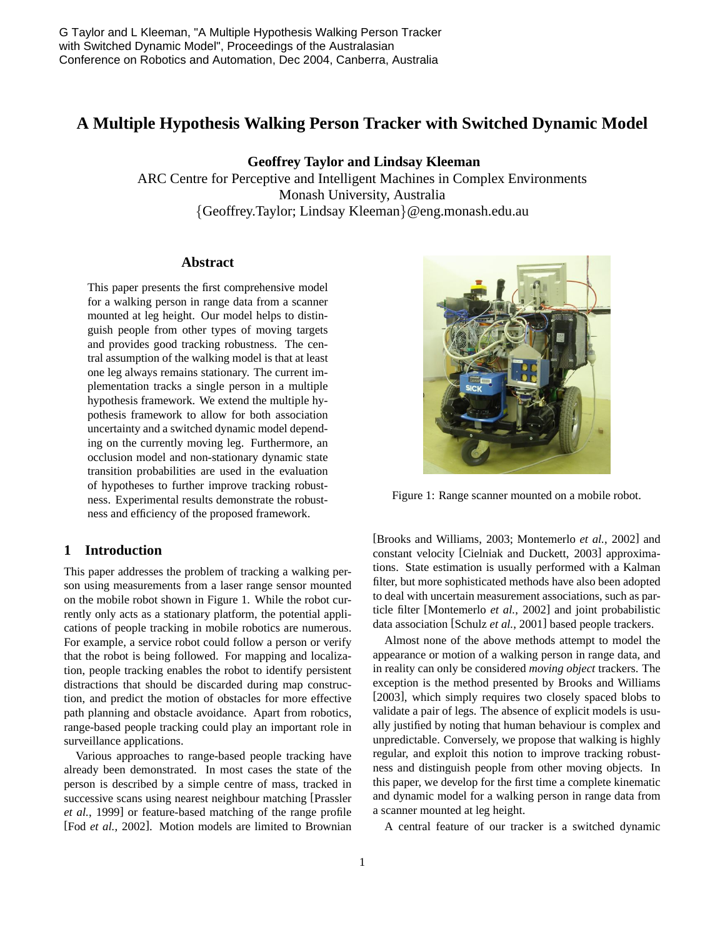# **A Multiple Hypothesis Walking Person Tracker with Switched Dynamic Model**

**Geoffrey Taylor and Lindsay Kleeman**

ARC Centre for Perceptive and Intelligent Machines in Complex Environments Monash University, Australia {Geoffrey.Taylor; Lindsay Kleeman}@eng.monash.edu.au

#### **Abstract**

This paper presents the first comprehensive model for a walking person in range data from a scanner mounted at leg height. Our model helps to distinguish people from other types of moving targets and provides good tracking robustness. The central assumption of the walking model is that at least one leg always remains stationary. The current implementation tracks a single person in a multiple hypothesis framework. We extend the multiple hypothesis framework to allow for both association uncertainty and a switched dynamic model depending on the currently moving leg. Furthermore, an occlusion model and non-stationary dynamic state transition probabilities are used in the evaluation of hypotheses to further improve tracking robustness. Experimental results demonstrate the robustness and efficiency of the proposed framework.

# **1 Introduction**

This paper addresses the problem of tracking a walking person using measurements from a laser range sensor mounted on the mobile robot shown in Figure 1. While the robot currently only acts as a stationary platform, the potential applications of people tracking in mobile robotics are numerous. For example, a service robot could follow a person or verify that the robot is being followed. For mapping and localization, people tracking enables the robot to identify persistent distractions that should be discarded during map construction, and predict the motion of obstacles for more effective path planning and obstacle avoidance. Apart from robotics, range-based people tracking could play an important role in surveillance applications.

Various approaches to range-based people tracking have already been demonstrated. In most cases the state of the person is described by a simple centre of mass, tracked in successive scans using nearest neighbour matching [Prassler *et al.*, 1999] or feature-based matching of the range profile [Fod *et al.*, 2002]. Motion models are limited to Brownian



Figure 1: Range scanner mounted on a mobile robot.

[Brooks and Williams, 2003; Montemerlo *et al.*, 2002] and constant velocity [Cielniak and Duckett, 2003] approximations. State estimation is usually performed with a Kalman filter, but more sophisticated methods have also been adopted to deal with uncertain measurement associations, such as particle filter [Montemerlo *et al.*, 2002] and joint probabilistic data association [Schulz *et al.*, 2001] based people trackers.

Almost none of the above methods attempt to model the appearance or motion of a walking person in range data, and in reality can only be considered *moving object* trackers. The exception is the method presented by Brooks and Williams [2003], which simply requires two closely spaced blobs to validate a pair of legs. The absence of explicit models is usually justified by noting that human behaviour is complex and unpredictable. Conversely, we propose that walking is highly regular, and exploit this notion to improve tracking robustness and distinguish people from other moving objects. In this paper, we develop for the first time a complete kinematic and dynamic model for a walking person in range data from a scanner mounted at leg height.

A central feature of our tracker is a switched dynamic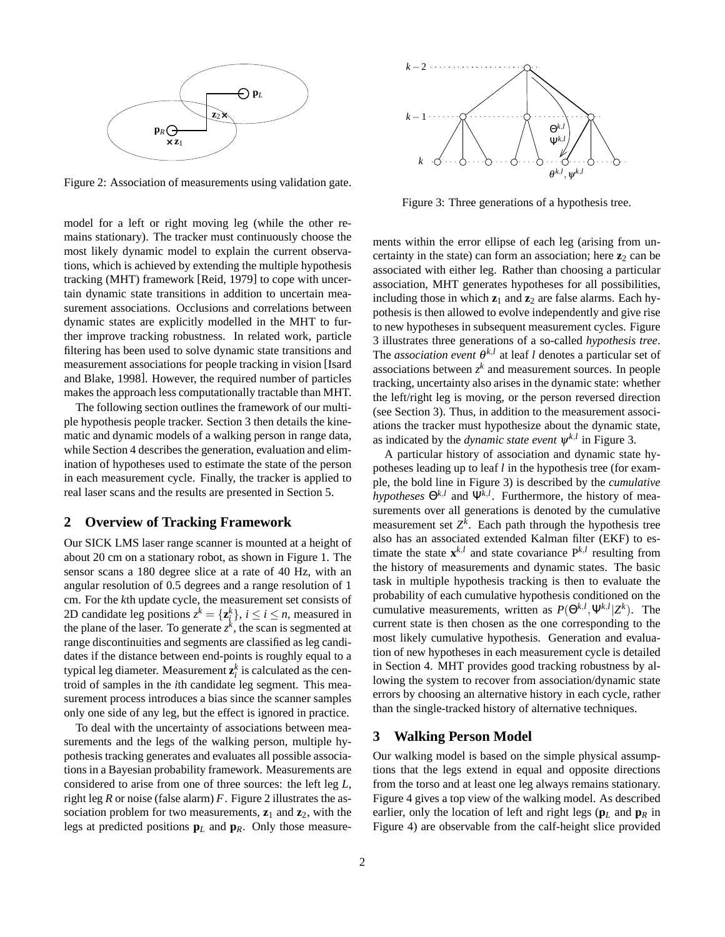

Figure 2: Association of measurements using validation gate.

model for a left or right moving leg (while the other remains stationary). The tracker must continuously choose the most likely dynamic model to explain the current observations, which is achieved by extending the multiple hypothesis tracking (MHT) framework [Reid, 1979] to cope with uncertain dynamic state transitions in addition to uncertain measurement associations. Occlusions and correlations between dynamic states are explicitly modelled in the MHT to further improve tracking robustness. In related work, particle filtering has been used to solve dynamic state transitions and measurement associations for people tracking in vision [Isard and Blake, 1998]. However, the required number of particles makes the approach less computationally tractable than MHT.

The following section outlines the framework of our multiple hypothesis people tracker. Section 3 then details the kinematic and dynamic models of a walking person in range data, while Section 4 describes the generation, evaluation and elimination of hypotheses used to estimate the state of the person in each measurement cycle. Finally, the tracker is applied to real laser scans and the results are presented in Section 5.

## **2 Overview of Tracking Framework**

Our SICK LMS laser range scanner is mounted at a height of about 20 cm on a stationary robot, as shown in Figure 1. The sensor scans a 180 degree slice at a rate of 40 Hz, with an angular resolution of 0.5 degrees and a range resolution of 1 cm. For the *k*th update cycle, the measurement set consists of 2D candidate leg positions  $z^k = \{z_i^k\}$ ,  $i \le i \le n$ , measured in the plane of the laser. To generate  $z^k$ , the scan is segmented at range discontinuities and segments are classified as leg candidates if the distance between end-points is roughly equal to a typical leg diameter. Measurement  $z_i^k$  is calculated as the centroid of samples in the *i*th candidate leg segment. This measurement process introduces a bias since the scanner samples only one side of any leg, but the effect is ignored in practice.

To deal with the uncertainty of associations between measurements and the legs of the walking person, multiple hypothesis tracking generates and evaluates all possible associations in a Bayesian probability framework. Measurements are considered to arise from one of three sources: the left leg *L*, right leg *R* or noise (false alarm) *F*. Figure 2 illustrates the association problem for two measurements,  $z_1$  and  $z_2$ , with the legs at predicted positions **p***<sup>L</sup>* and **p***R*. Only those measure-



Figure 3: Three generations of a hypothesis tree.

ments within the error ellipse of each leg (arising from uncertainty in the state) can form an association; here  $z_2$  can be associated with either leg. Rather than choosing a particular association, MHT generates hypotheses for all possibilities, including those in which  $z_1$  and  $z_2$  are false alarms. Each hypothesis is then allowed to evolve independently and give rise to new hypotheses in subsequent measurement cycles. Figure 3 illustrates three generations of a so-called *hypothesis tree*. The *association event*  $\theta^{k,l}$  at leaf *l* denotes a particular set of associations between  $z^k$  and measurement sources. In people tracking, uncertainty also arises in the dynamic state: whether the left/right leg is moving, or the person reversed direction (see Section 3). Thus, in addition to the measurement associations the tracker must hypothesize about the dynamic state, as indicated by the *dynamic state event*  $\psi^{k,l}$  in Figure 3.

A particular history of association and dynamic state hypotheses leading up to leaf *l* in the hypothesis tree (for example, the bold line in Figure 3) is described by the *cumulative hypotheses*  $\Theta^{k,l}$  and  $\Psi^{k,l}$ . Furthermore, the history of measurements over all generations is denoted by the cumulative measurement set  $Z^k$ . Each path through the hypothesis tree also has an associated extended Kalman filter (EKF) to estimate the state  $\mathbf{x}^{k,l}$  and state covariance  $P^{k,l}$  resulting from the history of measurements and dynamic states. The basic task in multiple hypothesis tracking is then to evaluate the probability of each cumulative hypothesis conditioned on the cumulative measurements, written as  $P(\Theta^{k,l}, \Psi^{k,l} | Z^k)$ . The current state is then chosen as the one corresponding to the most likely cumulative hypothesis. Generation and evaluation of new hypotheses in each measurement cycle is detailed in Section 4. MHT provides good tracking robustness by allowing the system to recover from association/dynamic state errors by choosing an alternative history in each cycle, rather than the single-tracked history of alternative techniques.

#### **3 Walking Person Model**

Our walking model is based on the simple physical assumptions that the legs extend in equal and opposite directions from the torso and at least one leg always remains stationary. Figure 4 gives a top view of the walking model. As described earlier, only the location of left and right legs (**p***<sup>L</sup>* and **p***<sup>R</sup>* in Figure 4) are observable from the calf-height slice provided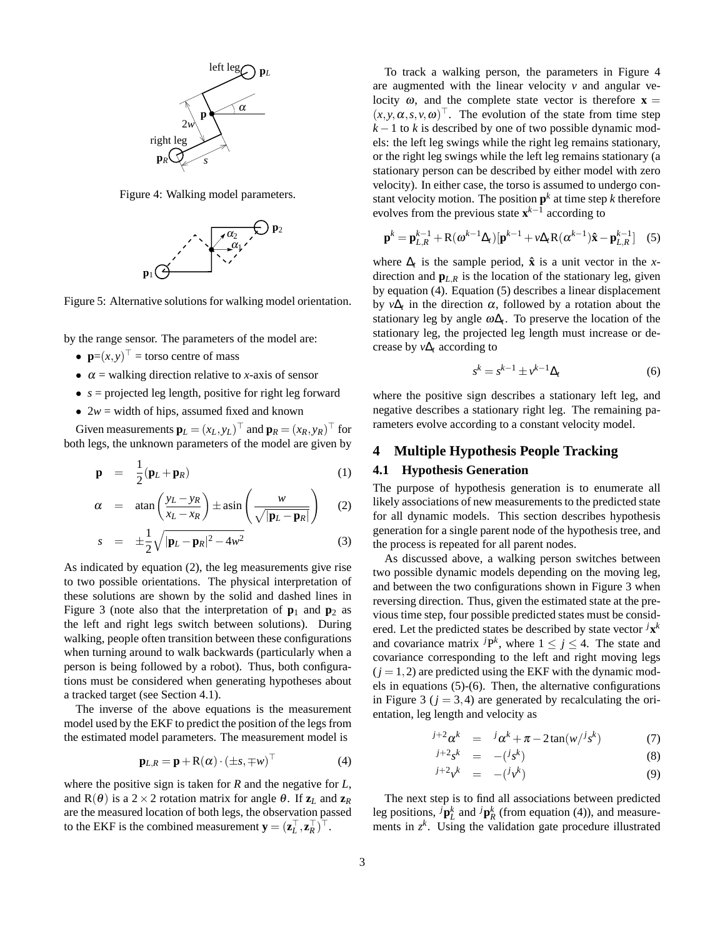

Figure 4: Walking model parameters.



Figure 5: Alternative solutions for walking model orientation.

by the range sensor. The parameters of the model are:

- $\mathbf{p}=(x,y)^\top = \text{torso centre of mass}$
- $\alpha$  = walking direction relative to *x*-axis of sensor
- $s =$  projected leg length, positive for right leg forward
- $2w =$  width of hips, assumed fixed and known

Given measurements  $\mathbf{p}_L = (x_L, y_L)^\top$  and  $\mathbf{p}_R = (x_R, y_R)^\top$  for both legs, the unknown parameters of the model are given by

$$
\mathbf{p} = \frac{1}{2} (\mathbf{p}_L + \mathbf{p}_R) \tag{1}
$$

$$
\alpha = \tan\left(\frac{y_L - y_R}{x_L - x_R}\right) \pm \operatorname{asin}\left(\frac{w}{\sqrt{|\mathbf{p}_L - \mathbf{p}_R|}}\right) \quad (2)
$$

$$
s = \pm \frac{1}{2} \sqrt{|\mathbf{p}_L - \mathbf{p}_R|^2 - 4w^2} \tag{3}
$$

As indicated by equation (2), the leg measurements give rise to two possible orientations. The physical interpretation of these solutions are shown by the solid and dashed lines in Figure 3 (note also that the interpretation of  $\mathbf{p}_1$  and  $\mathbf{p}_2$  as the left and right legs switch between solutions). During walking, people often transition between these configurations when turning around to walk backwards (particularly when a person is being followed by a robot). Thus, both configurations must be considered when generating hypotheses about a tracked target (see Section 4.1).

The inverse of the above equations is the measurement model used by the EKF to predict the position of the legs from the estimated model parameters. The measurement model is

$$
\mathbf{p}_{L,R} = \mathbf{p} + \mathbf{R}(\alpha) \cdot (\pm s, \mp w)^\top
$$
 (4)

where the positive sign is taken for *R* and the negative for *L*, and  $R(\theta)$  is a 2 × 2 rotation matrix for angle  $\theta$ . If  $z_L$  and  $z_R$ are the measured location of both legs, the observation passed to the EKF is the combined measurement  $\mathbf{y} = (\mathbf{z}_L^\top, \mathbf{z}_R^\top)^\top$ .

To track a walking person, the parameters in Figure 4 are augmented with the linear velocity  $\nu$  and angular velocity  $\omega$ , and the complete state vector is therefore **x** =  $(x, y, \alpha, s, v, \omega)$ <sup>T</sup>. The evolution of the state from time step  $k-1$  to *k* is described by one of two possible dynamic models: the left leg swings while the right leg remains stationary, or the right leg swings while the left leg remains stationary (a stationary person can be described by either model with zero velocity). In either case, the torso is assumed to undergo constant velocity motion. The position  $p^k$  at time step  $k$  therefore evolves from the previous state **x** *k*−1 according to

$$
\mathbf{p}^{k} = \mathbf{p}_{L,R}^{k-1} + \mathbf{R}(\boldsymbol{\omega}^{k-1}\boldsymbol{\Delta}_{t})[\mathbf{p}^{k-1} + \nu\boldsymbol{\Delta}_{t}\mathbf{R}(\boldsymbol{\alpha}^{k-1})\hat{\mathbf{x}} - \mathbf{p}_{L,R}^{k-1}] \quad (5)
$$

where  $\Delta_t$  is the sample period,  $\hat{\mathbf{x}}$  is a unit vector in the *x*direction and  $\mathbf{p}_{L,R}$  is the location of the stationary leg, given by equation (4). Equation (5) describes a linear displacement by *v*∆*<sup>t</sup>* in the direction α, followed by a rotation about the stationary leg by angle  $\omega \Delta_t$ . To preserve the location of the stationary leg, the projected leg length must increase or decrease by *v*∆*<sup>t</sup>* according to

$$
s^k = s^{k-1} \pm v^{k-1} \Delta_t \tag{6}
$$

where the positive sign describes a stationary left leg, and negative describes a stationary right leg. The remaining parameters evolve according to a constant velocity model.

#### **4 Multiple Hypothesis People Tracking**

#### **4.1 Hypothesis Generation**

The purpose of hypothesis generation is to enumerate all likely associations of new measurements to the predicted state for all dynamic models. This section describes hypothesis generation for a single parent node of the hypothesis tree, and the process is repeated for all parent nodes.

As discussed above, a walking person switches between two possible dynamic models depending on the moving leg, and between the two configurations shown in Figure 3 when reversing direction. Thus, given the estimated state at the previous time step, four possible predicted states must be considered. Let the predicted states be described by state vector *<sup>j</sup>***x** *k* and covariance matrix  $^{j}P^{k}$ , where  $1 \leq j \leq 4$ . The state and covariance corresponding to the left and right moving legs  $(i = 1, 2)$  are predicted using the EKF with the dynamic models in equations (5)-(6). Then, the alternative configurations in Figure 3 ( $j = 3, 4$ ) are generated by recalculating the orientation, leg length and velocity as

$$
j+2\alpha^k = j\alpha^k + \pi - 2\tan(w/j_s^k)
$$
 (7)

$$
j+2sk = -(jsk) \tag{8}
$$

$$
j+2v^k = -(jv^k) \tag{9}
$$

The next step is to find all associations between predicted leg positions,  ${}^{j}$ **p**<sup>*k*</sup><sub>*k*</sub> and  ${}^{j}$ **p**<sup>*k*</sup><sub>*R*</sub> (from equation (4)), and measurements in  $z^k$ . Using the validation gate procedure illustrated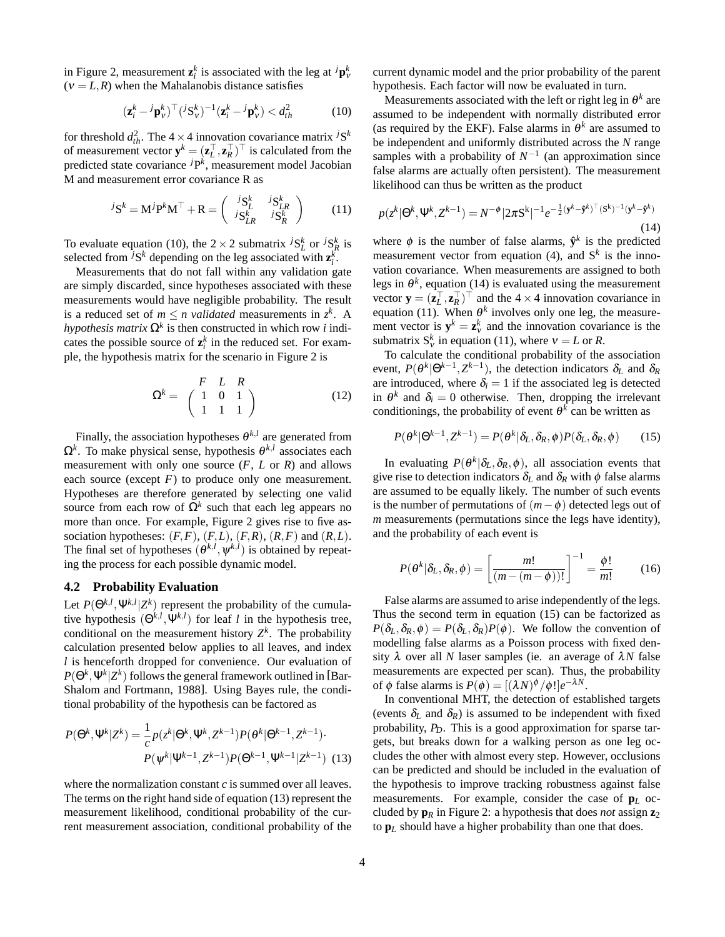in Figure 2, measurement  $\mathbf{z}_i^k$  is associated with the leg at  $^j\mathbf{p}_v^k$  $(V = L, R)$  when the Mahalanobis distance satisfies

$$
(\mathbf{z}_i^k - {}^j \mathbf{p}_v^k)^\top ({}^j \mathbf{S}_v^k)^{-1} (\mathbf{z}_i^k - {}^j \mathbf{p}_v^k) < d_{th}^2 \tag{10}
$$

for threshold  $d_{th}^2$ . The  $4 \times 4$  innovation covariance matrix *j*S<sup>*k*</sup> of measurement vector  $\mathbf{y}^k = (\mathbf{z}_L^\top, \mathbf{z}_R^\top)^\top$  is calculated from the predicted state covariance *<sup>j</sup>*P *k* , measurement model Jacobian M and measurement error covariance R as

$$
{}^{j}S^{k} = M^{j}P^{k}M^{\top} + R = \begin{pmatrix} {}^{j}S^{k}_{L} & {}^{j}S^{k}_{LR} \\ {}^{j}S^{k}_{LR} & {}^{j}S^{k}_{R} \end{pmatrix}
$$
 (11)

To evaluate equation (10), the  $2 \times 2$  submatrix  $^{j}S_{L}^{k}$  or  $^{j}S_{R}^{k}$  is selected from <sup>*j*</sup>S<sup>*k*</sup> depending on the leg associated with  $z_i^k$ .

Measurements that do not fall within any validation gate are simply discarded, since hypotheses associated with these measurements would have negligible probability. The result is a reduced set of  $m \le n$  *validated* measurements in  $z^k$ . A *hypothesis matrix*  $\Omega^k$  is then constructed in which row *i* indicates the possible source of  $z_i^k$  in the reduced set. For example, the hypothesis matrix for the scenario in Figure 2 is

$$
\Omega^{k} = \begin{pmatrix} F & L & R \\ 1 & 0 & 1 \\ 1 & 1 & 1 \end{pmatrix}
$$
 (12)

Finally, the association hypotheses  $\theta^{k,l}$  are generated from Ω*k* . To make physical sense, hypothesis θ *k*,*l* associates each measurement with only one source (*F*, *L* or *R*) and allows each source (except  $F$ ) to produce only one measurement. Hypotheses are therefore generated by selecting one valid source from each row of  $\Omega^k$  such that each leg appears no more than once. For example, Figure 2 gives rise to five association hypotheses:  $(F, F)$ ,  $(F, L)$ ,  $(F, R)$ ,  $(R, F)$  and  $(R, L)$ . The final set of hypotheses  $(\theta^{k,l}, \psi^{k,l})$  is obtained by repeating the process for each possible dynamic model.

#### **4.2 Probability Evaluation**

Let  $P(\Theta^{k,l}, \Psi^{k,l} | Z^k)$  represent the probability of the cumulative hypothesis  $(\Theta^{k,l}, \Psi^{k,l})$  for leaf *l* in the hypothesis tree, conditional on the measurement history  $Z<sup>k</sup>$ . The probability calculation presented below applies to all leaves, and index *l* is henceforth dropped for convenience. Our evaluation of  $P(\Theta^k, \Psi^k | Z^k)$  follows the general framework outlined in [Bar-Shalom and Fortmann, 1988]. Using Bayes rule, the conditional probability of the hypothesis can be factored as

$$
P(\Theta^k, \Psi^k | Z^k) = \frac{1}{c} p(z^k | \Theta^k, \Psi^k, Z^{k-1}) P(\Theta^k | \Theta^{k-1}, Z^{k-1}) \cdot P(\Psi^k | \Psi^{k-1}, Z^{k-1}) P(\Theta^{k-1}, \Psi^{k-1} | Z^{k-1})
$$
(13)

where the normalization constant *c* is summed over all leaves. The terms on the right hand side of equation (13) represent the measurement likelihood, conditional probability of the current measurement association, conditional probability of the current dynamic model and the prior probability of the parent hypothesis. Each factor will now be evaluated in turn.

Measurements associated with the left or right leg in  $\theta^k$  are assumed to be independent with normally distributed error (as required by the EKF). False alarms in  $\theta^k$  are assumed to be independent and uniformly distributed across the *N* range samples with a probability of  $N^{-1}$  (an approximation since false alarms are actually often persistent). The measurement likelihood can thus be written as the product

$$
p(z^k | \Theta^k, \Psi^k, Z^{k-1}) = N^{-\phi} |2\pi S^k|^{-1} e^{-\frac{1}{2} (\mathbf{y}^k - \hat{\mathbf{y}}^k)^{\top} (S^k)^{-1} (\mathbf{y}^k - \hat{\mathbf{y}}^k)}
$$
(14)

where  $\phi$  is the number of false alarms,  $\hat{\mathbf{y}}^k$  is the predicted measurement vector from equation  $(4)$ , and  $S<sup>k</sup>$  is the innovation covariance. When measurements are assigned to both legs in  $\theta^k$ , equation (14) is evaluated using the measurement vector  $\mathbf{y} = (\mathbf{z}_L^\top, \mathbf{z}_R^\top)^\top$  and the  $4 \times 4$  innovation covariance in equation (11). When  $\theta^k$  involves only one leg, the measurement vector is  $y^k = z_y^k$  and the innovation covariance is the submatrix  $S_v^k$  in equation (11), where  $v = L$  or *R*.

To calculate the conditional probability of the association event,  $P(\theta^k | \Theta^{k-1}, Z^{k-1})$ , the detection indicators  $\delta_L$  and  $\delta_R$ are introduced, where  $\delta_i = 1$  if the associated leg is detected in  $\theta^k$  and  $\delta_i = 0$  otherwise. Then, dropping the irrelevant conditionings, the probability of event  $\theta^k$  can be written as

$$
P(\theta^k | \Theta^{k-1}, Z^{k-1}) = P(\theta^k | \delta_L, \delta_R, \phi) P(\delta_L, \delta_R, \phi)
$$
 (15)

In evaluating  $P(\theta^k | \delta_L, \delta_R, \phi)$ , all association events that give rise to detection indicators  $\delta_L$  and  $\delta_R$  with  $\phi$  false alarms are assumed to be equally likely. The number of such events is the number of permutations of  $(m - \phi)$  detected legs out of *m* measurements (permutations since the legs have identity), and the probability of each event is

$$
P(\theta^k|\delta_L, \delta_R, \phi) = \left[\frac{m!}{(m - (m - \phi))!}\right]^{-1} = \frac{\phi!}{m!} \tag{16}
$$

False alarms are assumed to arise independently of the legs. Thus the second term in equation (15) can be factorized as  $P(\delta_L, \delta_R, \phi) = P(\delta_L, \delta_R) P(\phi)$ . We follow the convention of modelling false alarms as a Poisson process with fixed density  $\lambda$  over all *N* laser samples (ie. an average of  $\lambda N$  false measurements are expected per scan). Thus, the probability of  $\phi$  false alarms is  $P(\phi) = [(\lambda N)^{\phi}/\phi!]e^{-\lambda N}$ .

In conventional MHT, the detection of established targets (events  $\delta_L$  and  $\delta_R$ ) is assumed to be independent with fixed probability, *PD*. This is a good approximation for sparse targets, but breaks down for a walking person as one leg occludes the other with almost every step. However, occlusions can be predicted and should be included in the evaluation of the hypothesis to improve tracking robustness against false measurements. For example, consider the case of **p***<sup>L</sup>* occluded by  $\mathbf{p}_R$  in Figure 2: a hypothesis that does *not* assign  $\mathbf{z}_2$ to **p***<sup>L</sup>* should have a higher probability than one that does.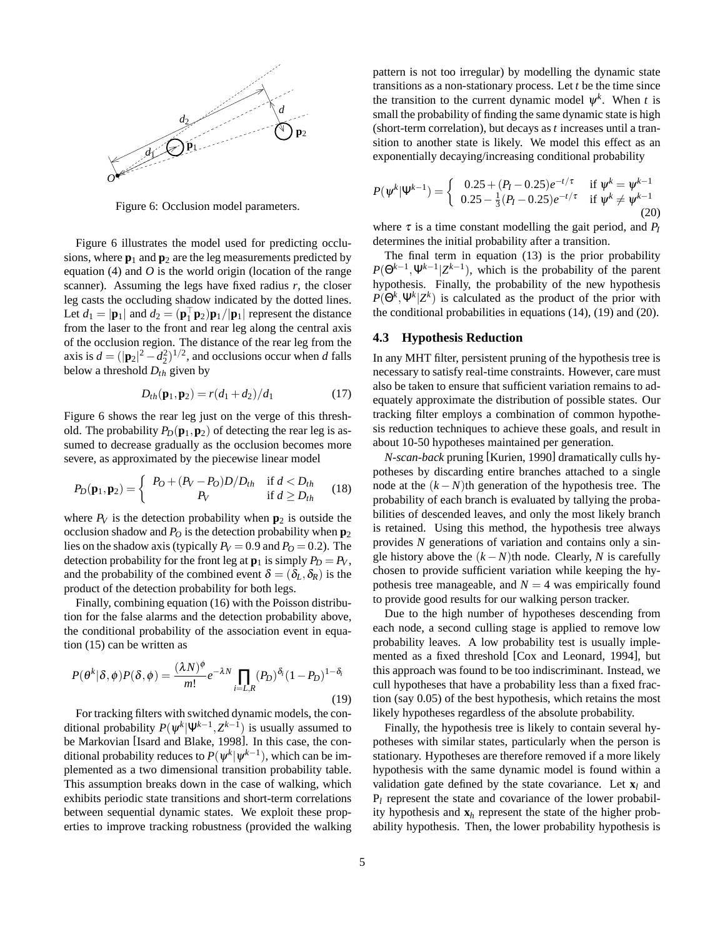

Figure 6: Occlusion model parameters.

Figure 6 illustrates the model used for predicting occlusions, where  $\mathbf{p}_1$  and  $\mathbf{p}_2$  are the leg measurements predicted by equation (4) and *O* is the world origin (location of the range scanner). Assuming the legs have fixed radius  $r$ , the closer leg casts the occluding shadow indicated by the dotted lines. Let  $d_1 = |\mathbf{p}_1|$  and  $d_2 = (\mathbf{p}_1^\top \mathbf{p}_2) \mathbf{p}_1 / |\mathbf{p}_1|$  represent the distance from the laser to the front and rear leg along the central axis of the occlusion region. The distance of the rear leg from the axis is  $d = (|\mathbf{p}_2|^2 - d_2^2)^{1/2}$ , and occlusions occur when *d* falls below a threshold *Dth* given by

$$
D_{th}(\mathbf{p}_1, \mathbf{p}_2) = r(d_1 + d_2)/d_1 \tag{17}
$$

Figure 6 shows the rear leg just on the verge of this threshold. The probability  $P_D(\mathbf{p}_1, \mathbf{p}_2)$  of detecting the rear leg is assumed to decrease gradually as the occlusion becomes more severe, as approximated by the piecewise linear model

$$
P_D(\mathbf{p}_1, \mathbf{p}_2) = \begin{cases} P_O + (P_V - P_O)D/D_{th} & \text{if } d < D_{th} \\ P_V & \text{if } d \ge D_{th} \end{cases} (18)
$$

where  $P_V$  is the detection probability when  $p_2$  is outside the occlusion shadow and  $P<sub>O</sub>$  is the detection probability when  $p<sub>2</sub>$ lies on the shadow axis (typically  $P_V = 0.9$  and  $P_O = 0.2$ ). The detection probability for the front leg at  $\mathbf{p}_1$  is simply  $P_D = P_V$ , and the probability of the combined event  $\delta = (\delta_L, \delta_R)$  is the product of the detection probability for both legs.

Finally, combining equation (16) with the Poisson distribution for the false alarms and the detection probability above, the conditional probability of the association event in equation (15) can be written as

$$
P(\theta^k|\delta,\phi)P(\delta,\phi) = \frac{(\lambda N)^{\phi}}{m!}e^{-\lambda N}\prod_{i=L,R}(P_D)^{\delta_i}(1-P_D)^{1-\delta_i}
$$
\n(19)

For tracking filters with switched dynamic models, the conditional probability  $P(\psi^k | \Psi^{k-1}, Z^{k-1})$  is usually assumed to be Markovian [Isard and Blake, 1998]. In this case, the conditional probability reduces to  $P(\bm{\psi}^k | \bm{\psi}^{k-1})$ , which can be implemented as a two dimensional transition probability table. This assumption breaks down in the case of walking, which exhibits periodic state transitions and short-term correlations between sequential dynamic states. We exploit these properties to improve tracking robustness (provided the walking pattern is not too irregular) by modelling the dynamic state transitions as a non-stationary process. Let *t* be the time since the transition to the current dynamic model  $\psi^k$ . When *t* is small the probability of finding the same dynamic state is high (short-term correlation), but decays as *t* increases until a transition to another state is likely. We model this effect as an exponentially decaying/increasing conditional probability

$$
P(\psi^k|\Psi^{k-1}) = \begin{cases} 0.25 + (P_I - 0.25)e^{-t/\tau} & \text{if } \psi^k = \psi^{k-1} \\ 0.25 - \frac{1}{3}(P_I - 0.25)e^{-t/\tau} & \text{if } \psi^k \neq \psi^{k-1} \end{cases}
$$
(20)

where  $\tau$  is a time constant modelling the gait period, and  $P_I$ determines the initial probability after a transition.

The final term in equation (13) is the prior probability  $P(\Theta^{k-1}, \Psi^{k-1} | Z^{k-1})$ , which is the probability of the parent hypothesis. Finally, the probability of the new hypothesis  $P(\Theta^k, \Psi^k | Z^k)$  is calculated as the product of the prior with the conditional probabilities in equations (14), (19) and (20).

# **4.3 Hypothesis Reduction**

In any MHT filter, persistent pruning of the hypothesis tree is necessary to satisfy real-time constraints. However, care must also be taken to ensure that sufficient variation remains to adequately approximate the distribution of possible states. Our tracking filter employs a combination of common hypothesis reduction techniques to achieve these goals, and result in about 10-50 hypotheses maintained per generation.

*N-scan-back* pruning [Kurien, 1990] dramatically culls hypotheses by discarding entire branches attached to a single node at the  $(k - N)$ th generation of the hypothesis tree. The probability of each branch is evaluated by tallying the probabilities of descended leaves, and only the most likely branch is retained. Using this method, the hypothesis tree always provides *N* generations of variation and contains only a single history above the  $(k - N)$ th node. Clearly, *N* is carefully chosen to provide sufficient variation while keeping the hypothesis tree manageable, and  $N = 4$  was empirically found to provide good results for our walking person tracker.

Due to the high number of hypotheses descending from each node, a second culling stage is applied to remove low probability leaves. A low probability test is usually implemented as a fixed threshold [Cox and Leonard, 1994], but this approach was found to be too indiscriminant. Instead, we cull hypotheses that have a probability less than a fixed fraction (say 0.05) of the best hypothesis, which retains the most likely hypotheses regardless of the absolute probability.

Finally, the hypothesis tree is likely to contain several hypotheses with similar states, particularly when the person is stationary. Hypotheses are therefore removed if a more likely hypothesis with the same dynamic model is found within a validation gate defined by the state covariance. Let  $\mathbf{x}_l$  and P*<sup>l</sup>* represent the state and covariance of the lower probability hypothesis and **x***<sup>h</sup>* represent the state of the higher probability hypothesis. Then, the lower probability hypothesis is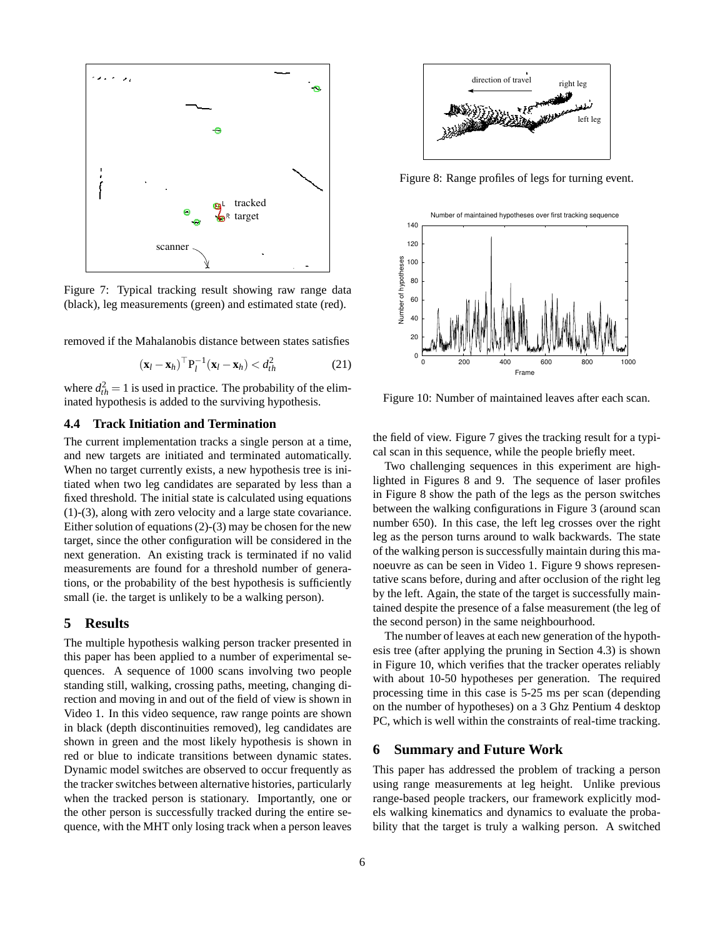

Figure 7: Typical tracking result showing raw range data (black), leg measurements (green) and estimated state (red).

removed if the Mahalanobis distance between states satisfies

$$
(\mathbf{x}_l - \mathbf{x}_h)^\top \mathbf{P}_l^{-1} (\mathbf{x}_l - \mathbf{x}_h) < d_{th}^2 \tag{21}
$$

where  $d_{th}^2 = 1$  is used in practice. The probability of the eliminated hypothesis is added to the surviving hypothesis.

#### **4.4 Track Initiation and Termination**

The current implementation tracks a single person at a time, and new targets are initiated and terminated automatically. When no target currently exists, a new hypothesis tree is initiated when two leg candidates are separated by less than a fixed threshold. The initial state is calculated using equations (1)-(3), along with zero velocity and a large state covariance. Either solution of equations (2)-(3) may be chosen for the new target, since the other configuration will be considered in the next generation. An existing track is terminated if no valid measurements are found for a threshold number of generations, or the probability of the best hypothesis is sufficiently small (ie. the target is unlikely to be a walking person).

## **5 Results**

The multiple hypothesis walking person tracker presented in this paper has been applied to a number of experimental sequences. A sequence of 1000 scans involving two people standing still, walking, crossing paths, meeting, changing direction and moving in and out of the field of view is shown in Video 1. In this video sequence, raw range points are shown in black (depth discontinuities removed), leg candidates are shown in green and the most likely hypothesis is shown in red or blue to indicate transitions between dynamic states. Dynamic model switches are observed to occur frequently as the tracker switches between alternative histories, particularly when the tracked person is stationary. Importantly, one or the other person is successfully tracked during the entire sequence, with the MHT only losing track when a person leaves



Figure 8: Range profiles of legs for turning event.



Figure 10: Number of maintained leaves after each scan.

the field of view. Figure 7 gives the tracking result for a typical scan in this sequence, while the people briefly meet.

Two challenging sequences in this experiment are highlighted in Figures 8 and 9. The sequence of laser profiles in Figure 8 show the path of the legs as the person switches between the walking configurations in Figure 3 (around scan number 650). In this case, the left leg crosses over the right leg as the person turns around to walk backwards. The state of the walking person is successfully maintain during this manoeuvre as can be seen in Video 1. Figure 9 shows representative scans before, during and after occlusion of the right leg by the left. Again, the state of the target is successfully maintained despite the presence of a false measurement (the leg of the second person) in the same neighbourhood.

The number of leaves at each new generation of the hypothesis tree (after applying the pruning in Section 4.3) is shown in Figure 10, which verifies that the tracker operates reliably with about 10-50 hypotheses per generation. The required processing time in this case is 5-25 ms per scan (depending on the number of hypotheses) on a 3 Ghz Pentium 4 desktop PC, which is well within the constraints of real-time tracking.

#### **6 Summary and Future Work**

This paper has addressed the problem of tracking a person using range measurements at leg height. Unlike previous range-based people trackers, our framework explicitly models walking kinematics and dynamics to evaluate the probability that the target is truly a walking person. A switched